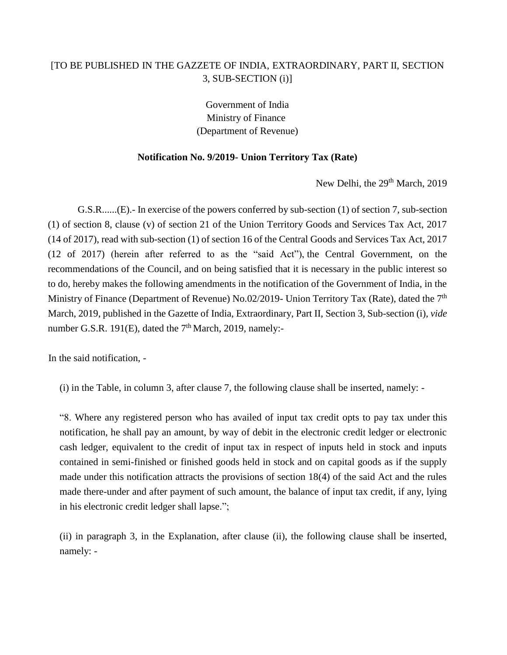## [TO BE PUBLISHED IN THE GAZZETE OF INDIA, EXTRAORDINARY, PART II, SECTION 3, SUB-SECTION (i)]

Government of India Ministry of Finance (Department of Revenue)

## **Notification No. 9/2019- Union Territory Tax (Rate)**

New Delhi, the 29<sup>th</sup> March, 2019

G.S.R......(E).- In exercise of the powers conferred by sub-section (1) of section 7, sub-section (1) of section 8, clause (v) of section 21 of the Union Territory Goods and Services Tax Act, 2017 (14 of 2017), read with sub-section (1) of section 16 of the Central Goods and Services Tax Act, 2017 (12 of 2017) (herein after referred to as the "said Act"), the Central Government, on the recommendations of the Council, and on being satisfied that it is necessary in the public interest so to do, hereby makes the following amendments in the notification of the Government of India, in the Ministry of Finance (Department of Revenue) No.02/2019- Union Territory Tax (Rate), dated the 7<sup>th</sup> March, 2019, published in the Gazette of India, Extraordinary, Part II, Section 3, Sub-section (i), *vide* number G.S.R. 191 $(E)$ , dated the 7<sup>th</sup> March, 2019, namely:-

In the said notification, -

(i) in the Table, in column 3, after clause 7, the following clause shall be inserted, namely: -

"8. Where any registered person who has availed of input tax credit opts to pay tax under this notification, he shall pay an amount, by way of debit in the electronic credit ledger or electronic cash ledger, equivalent to the credit of input tax in respect of inputs held in stock and inputs contained in semi-finished or finished goods held in stock and on capital goods as if the supply made under this notification attracts the provisions of section 18(4) of the said Act and the rules made there-under and after payment of such amount, the balance of input tax credit, if any, lying in his electronic credit ledger shall lapse.";

(ii) in paragraph 3, in the Explanation, after clause (ii), the following clause shall be inserted, namely: -